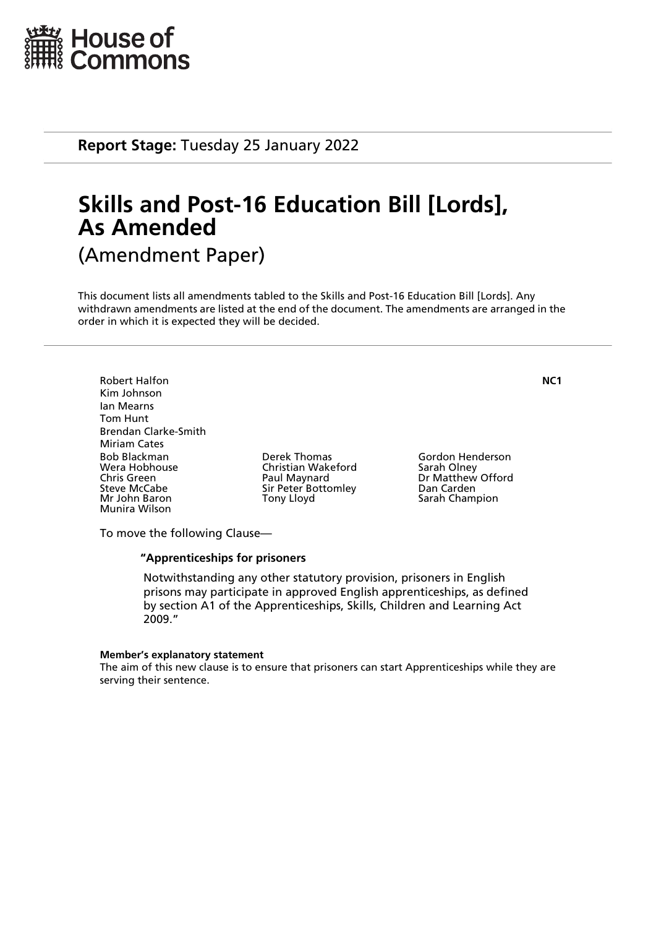

**Report Stage:** Tuesday 25 January 2022

# **Skills and Post-16 Education Bill [Lords], As Amended** (Amendment Paper)

This document lists all amendments tabled to the Skills and Post-16 Education Bill [Lords]. Any withdrawn amendments are listed at the end of the document. The amendments are arranged in the order in which it is expected they will be decided.

Robert Halfon **NC1** Kim Johnson Ian Mearns Tom Hunt Brendan Clarke-Smith Miriam Cates Bob Blackman Derek Thomas Gordon Henderson Chris Green **Paul Maynard** Dr Matthew Offord<br>
Sir Peter Bottomley Dan Carden<br>
Dan Carden Steve McCabe Sir Peter Bottomley<br>
Mr John Baron Sir Pony Lloyd Munira Wilson

Christian Wakeford<br>Paul Maynard

Sarah Champion

To move the following Clause—

#### **"Apprenticeships for prisoners**

 Notwithstanding any other statutory provision, prisoners in English prisons may participate in approved English apprenticeships, as defined by section A1 of the Apprenticeships, Skills, Children and Learning Act 2009."

#### **Member's explanatory statement**

The aim of this new clause is to ensure that prisoners can start Apprenticeships while they are serving their sentence.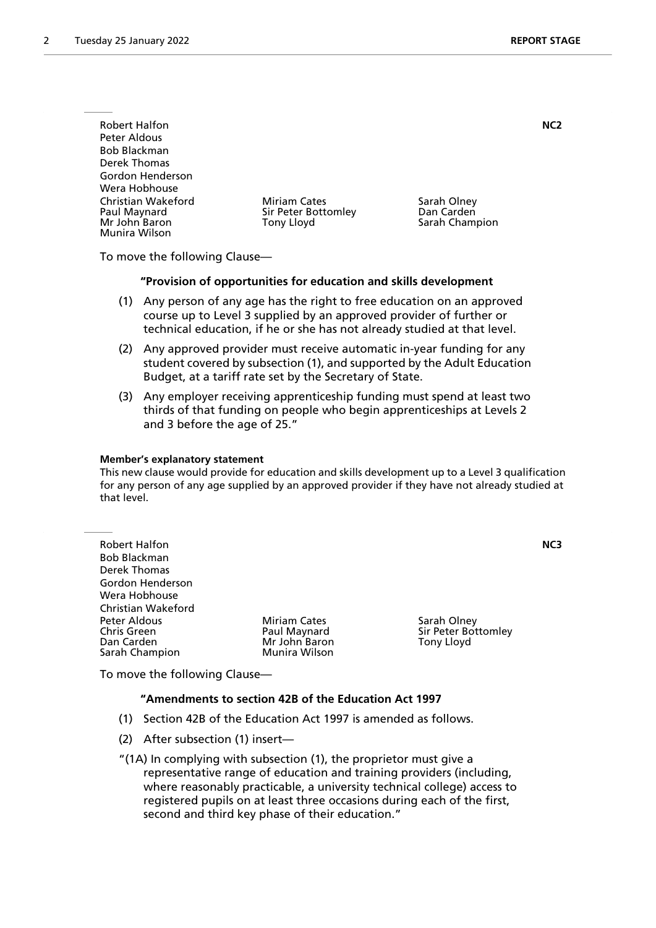| <b>Robert Halfon</b>                                                 |                                                          | NC <sub>2</sub>                             |
|----------------------------------------------------------------------|----------------------------------------------------------|---------------------------------------------|
| Peter Aldous                                                         |                                                          |                                             |
| <b>Bob Blackman</b>                                                  |                                                          |                                             |
| Derek Thomas                                                         |                                                          |                                             |
| Gordon Henderson                                                     |                                                          |                                             |
| Wera Hobhouse                                                        |                                                          |                                             |
| Christian Wakeford<br>Paul Maynard<br>Mr John Baron<br>Munira Wilson | <b>Miriam Cates</b><br>Sir Peter Bottomley<br>Tony Lloyd | Sarah Olney<br>Dan Carden<br>Sarah Champion |

To move the following Clause—

#### **"Provision of opportunities for education and skills development**

- (1) Any person of any age has the right to free education on an approved course up to Level 3 supplied by an approved provider of further or technical education, if he or she has not already studied at that level.
- (2) Any approved provider must receive automatic in-year funding for any student covered by subsection (1), and supported by the Adult Education Budget, at a tariff rate set by the Secretary of State.
- (3) Any employer receiving apprenticeship funding must spend at least two thirds of that funding on people who begin apprenticeships at Levels 2 and 3 before the age of 25."

#### **Member's explanatory statement**

This new clause would provide for education and skills development up to a Level 3 qualification for any person of any age supplied by an approved provider if they have not already studied at that level.

| <b>Robert Halfon</b><br><b>Bob Blackman</b><br>Derek Thomas |                     |                     | NC3 |
|-------------------------------------------------------------|---------------------|---------------------|-----|
| Gordon Henderson                                            |                     |                     |     |
| Wera Hobhouse                                               |                     |                     |     |
| Christian Wakeford                                          |                     |                     |     |
|                                                             |                     |                     |     |
| Peter Aldous                                                | <b>Miriam Cates</b> | Sarah Olney         |     |
| <b>Chris Green</b>                                          | Paul Maynard        | Sir Peter Bottomley |     |
| Dan Carden                                                  | Mr John Baron       | Tony Lloyd          |     |
| Sarah Champion                                              | Munira Wilson       |                     |     |

To move the following Clause—

## **"Amendments to section 42B of the Education Act 1997**

- (1) Section 42B of the Education Act 1997 is amended as follows.
- (2) After subsection (1) insert—

"(1A) In complying with subsection (1), the proprietor must give a representative range of education and training providers (including, where reasonably practicable, a university technical college) access to registered pupils on at least three occasions during each of the first, second and third key phase of their education."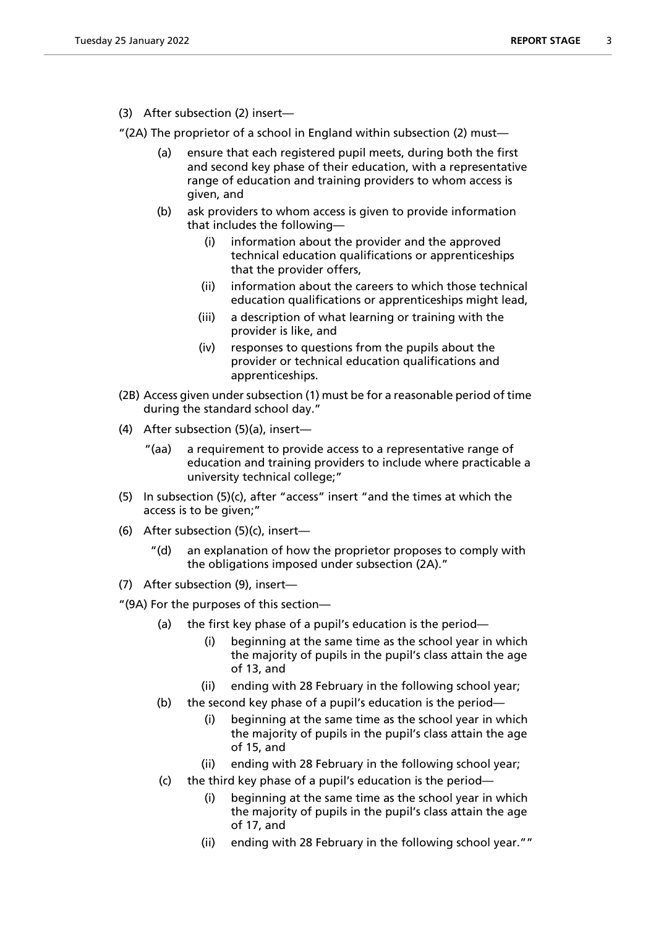(3) After subsection (2) insert—

"(2A) The proprietor of a school in England within subsection (2) must—

- (a) ensure that each registered pupil meets, during both the first and second key phase of their education, with a representative range of education and training providers to whom access is given, and
- (b) ask providers to whom access is given to provide information that includes the following—
	- (i) information about the provider and the approved technical education qualifications or apprenticeships that the provider offers,
	- (ii) information about the careers to which those technical education qualifications or apprenticeships might lead,
	- (iii) a description of what learning or training with the provider is like, and
	- (iv) responses to questions from the pupils about the provider or technical education qualifications and apprenticeships.
- (2B) Access given under subsection (1) must be for a reasonable period of time during the standard school day."
- (4) After subsection (5)(a), insert—
	- "(aa) a requirement to provide access to a representative range of education and training providers to include where practicable a university technical college;"
- (5) In subsection (5)(c), after "access" insert "and the times at which the access is to be given;"
- (6) After subsection (5)(c), insert
	- an explanation of how the proprietor proposes to comply with the obligations imposed under subsection (2A)."
- (7) After subsection (9), insert—

"(9A) For the purposes of this section—

- (a) the first key phase of a pupil's education is the period—
	- (i) beginning at the same time as the school year in which the majority of pupils in the pupil's class attain the age of 13, and
	- (ii) ending with 28 February in the following school year;
- (b) the second key phase of a pupil's education is the period—
	- (i) beginning at the same time as the school year in which the majority of pupils in the pupil's class attain the age of 15, and
	- (ii) ending with 28 February in the following school year;
- (c) the third key phase of a pupil's education is the period
	- beginning at the same time as the school year in which the majority of pupils in the pupil's class attain the age of 17, and
	- (ii) ending with 28 February in the following school year.""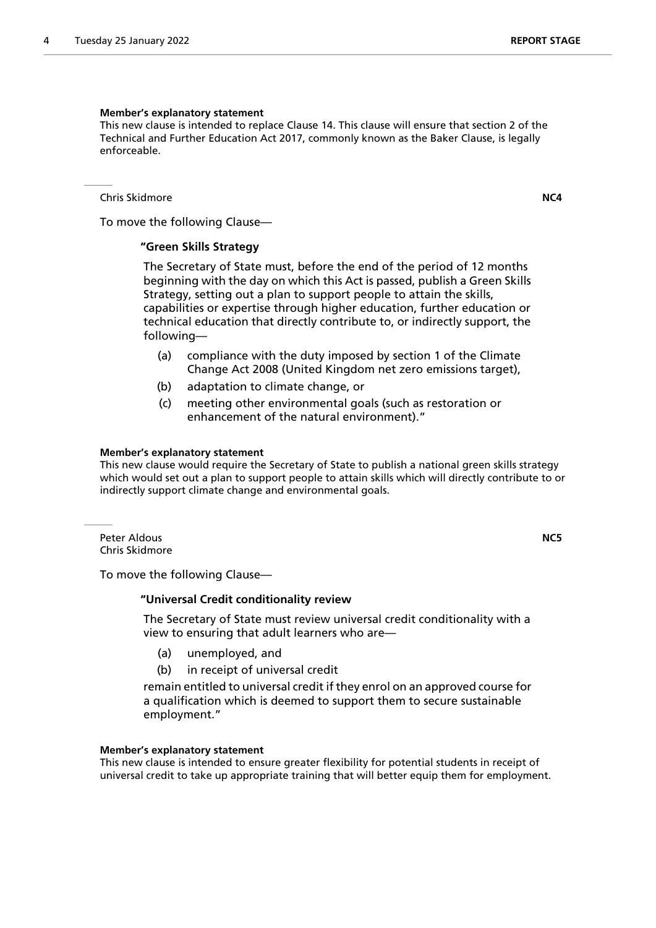#### **Member's explanatory statement**

This new clause is intended to replace Clause 14. This clause will ensure that section 2 of the Technical and Further Education Act 2017, commonly known as the Baker Clause, is legally enforceable.

Chris Skidmore **NC4**

To move the following Clause—

#### **"Green Skills Strategy**

 The Secretary of State must, before the end of the period of 12 months beginning with the day on which this Act is passed, publish a Green Skills Strategy, setting out a plan to support people to attain the skills, capabilities or expertise through higher education, further education or technical education that directly contribute to, or indirectly support, the following—

- (a) compliance with the duty imposed by section 1 of the Climate Change Act 2008 (United Kingdom net zero emissions target),
- (b) adaptation to climate change, or
- (c) meeting other environmental goals (such as restoration or enhancement of the natural environment)."

#### **Member's explanatory statement**

This new clause would require the Secretary of State to publish a national green skills strategy which would set out a plan to support people to attain skills which will directly contribute to or indirectly support climate change and environmental goals.

Peter Aldous **NC5** Chris Skidmore

To move the following Clause—

#### **"Universal Credit conditionality review**

 The Secretary of State must review universal credit conditionality with a view to ensuring that adult learners who are—

- (a) unemployed, and
- (b) in receipt of universal credit

remain entitled to universal credit if they enrol on an approved course for a qualification which is deemed to support them to secure sustainable employment."

#### **Member's explanatory statement**

This new clause is intended to ensure greater flexibility for potential students in receipt of universal credit to take up appropriate training that will better equip them for employment.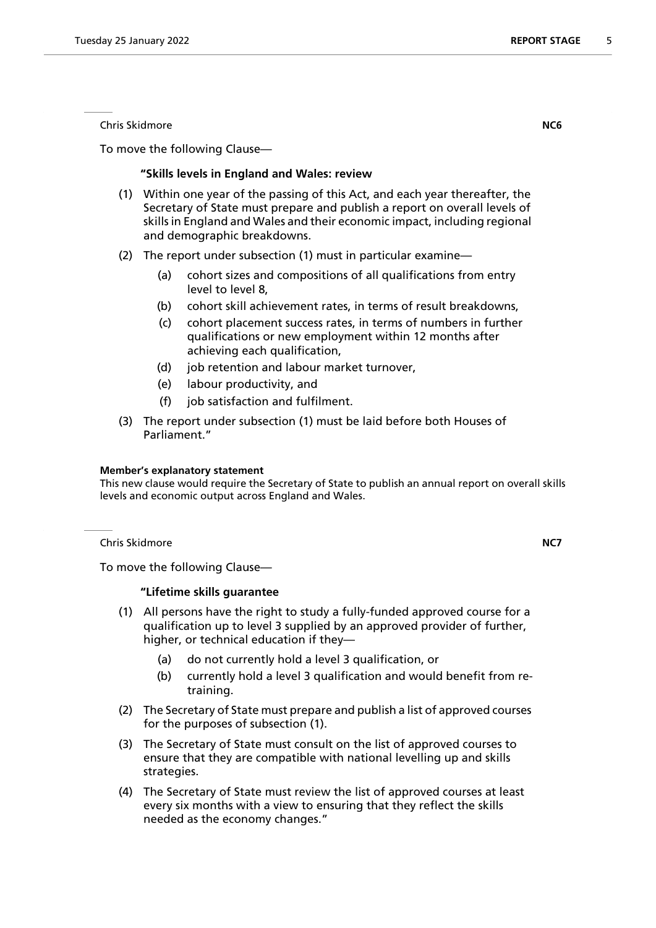To move the following Clause—

## **"Skills levels in England and Wales: review**

- (1) Within one year of the passing of this Act, and each year thereafter, the Secretary of State must prepare and publish a report on overall levels of skills in England and Wales and their economic impact, including regional and demographic breakdowns.
- (2) The report under subsection (1) must in particular examine—
	- (a) cohort sizes and compositions of all qualifications from entry level to level 8,
	- (b) cohort skill achievement rates, in terms of result breakdowns,
	- (c) cohort placement success rates, in terms of numbers in further qualifications or new employment within 12 months after achieving each qualification,
	- (d) job retention and labour market turnover,
	- (e) labour productivity, and
	- (f) job satisfaction and fulfilment.
- (3) The report under subsection (1) must be laid before both Houses of Parliament."

#### **Member's explanatory statement**

This new clause would require the Secretary of State to publish an annual report on overall skills levels and economic output across England and Wales.

Chris Skidmore **NC7**

To move the following Clause—

## **"Lifetime skills guarantee**

- (1) All persons have the right to study a fully-funded approved course for a qualification up to level 3 supplied by an approved provider of further, higher, or technical education if they—
	- (a) do not currently hold a level 3 qualification, or
	- (b) currently hold a level 3 qualification and would benefit from retraining.
- (2) The Secretary of State must prepare and publish a list of approved courses for the purposes of subsection (1).
- (3) The Secretary of State must consult on the list of approved courses to ensure that they are compatible with national levelling up and skills strategies.
- (4) The Secretary of State must review the list of approved courses at least every six months with a view to ensuring that they reflect the skills needed as the economy changes."

Chris Skidmore **NC6**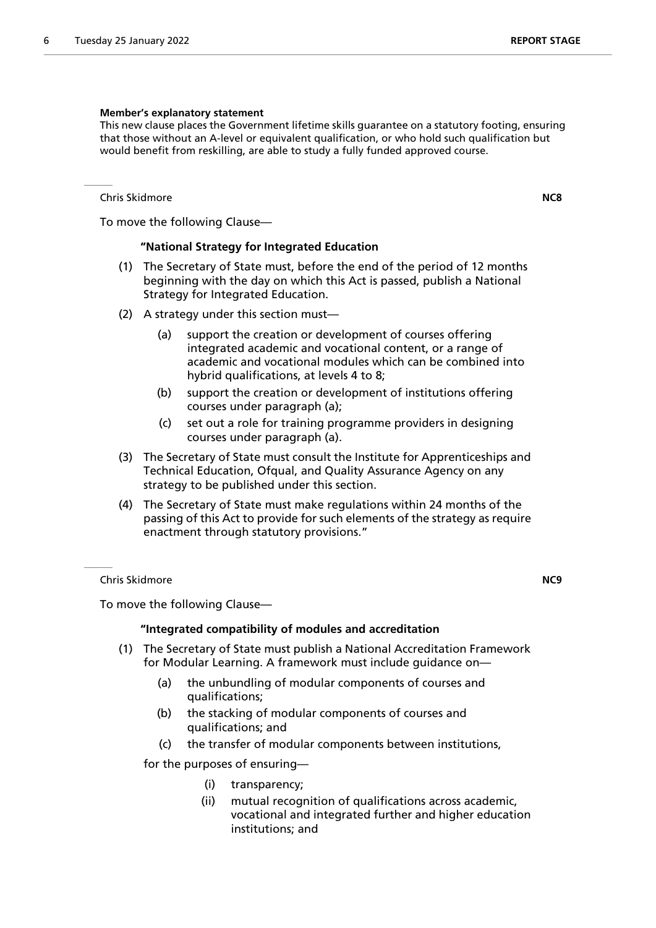#### **Member's explanatory statement**

This new clause places the Government lifetime skills guarantee on a statutory footing, ensuring that those without an A-level or equivalent qualification, or who hold such qualification but would benefit from reskilling, are able to study a fully funded approved course.

Chris Skidmore **NC8**

To move the following Clause—

### **"National Strategy for Integrated Education**

- (1) The Secretary of State must, before the end of the period of 12 months beginning with the day on which this Act is passed, publish a National Strategy for Integrated Education.
- (2) A strategy under this section must—
	- (a) support the creation or development of courses offering integrated academic and vocational content, or a range of academic and vocational modules which can be combined into hybrid qualifications, at levels 4 to 8;
	- (b) support the creation or development of institutions offering courses under paragraph (a);
	- (c) set out a role for training programme providers in designing courses under paragraph (a).
- (3) The Secretary of State must consult the Institute for Apprenticeships and Technical Education, Ofqual, and Quality Assurance Agency on any strategy to be published under this section.
- (4) The Secretary of State must make regulations within 24 months of the passing of this Act to provide for such elements of the strategy as require enactment through statutory provisions."

Chris Skidmore **NC9**

To move the following Clause—

## **"Integrated compatibility of modules and accreditation**

- (1) The Secretary of State must publish a National Accreditation Framework for Modular Learning. A framework must include guidance on—
	- (a) the unbundling of modular components of courses and qualifications;
	- (b) the stacking of modular components of courses and qualifications; and
	- (c) the transfer of modular components between institutions,

for the purposes of ensuring—

- (i) transparency;
- (ii) mutual recognition of qualifications across academic, vocational and integrated further and higher education institutions; and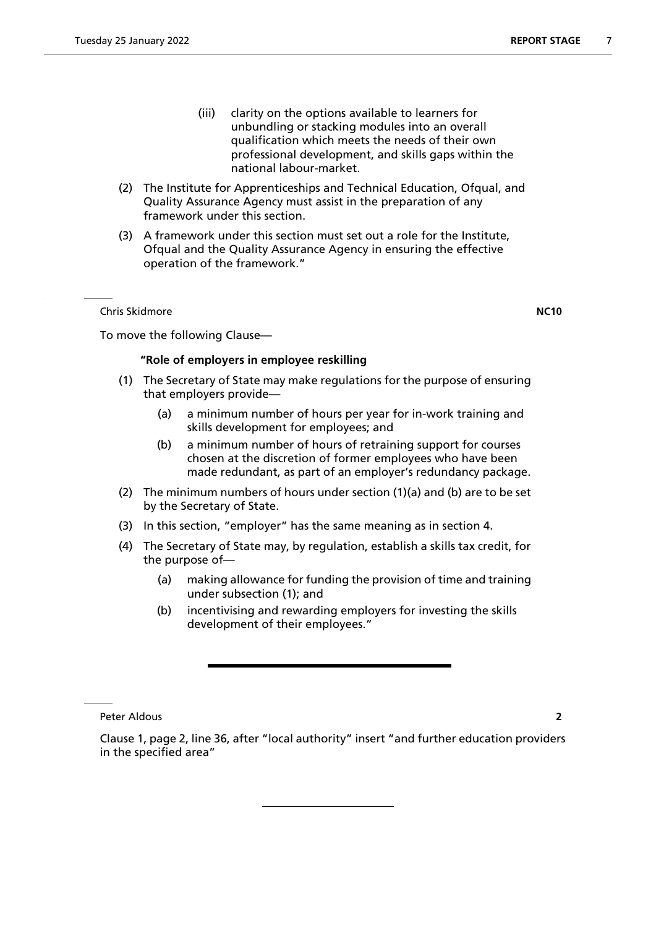- (iii) clarity on the options available to learners for unbundling or stacking modules into an overall qualification which meets the needs of their own professional development, and skills gaps within the national labour-market.
- (2) The Institute for Apprenticeships and Technical Education, Ofqual, and Quality Assurance Agency must assist in the preparation of any framework under this section.
- (3) A framework under this section must set out a role for the Institute, Ofqual and the Quality Assurance Agency in ensuring the effective operation of the framework."

Chris Skidmore **NC10**

To move the following Clause—

## **"Role of employers in employee reskilling**

- (1) The Secretary of State may make regulations for the purpose of ensuring that employers provide—
	- (a) a minimum number of hours per year for in-work training and skills development for employees; and
	- (b) a minimum number of hours of retraining support for courses chosen at the discretion of former employees who have been made redundant, as part of an employer's redundancy package.
- (2) The minimum numbers of hours under section (1)(a) and (b) are to be set by the Secretary of State.
- (3) In this section, "employer" has the same meaning as in section 4.
- (4) The Secretary of State may, by regulation, establish a skills tax credit, for the purpose of—
	- (a) making allowance for funding the provision of time and training under subsection (1); and
	- (b) incentivising and rewarding employers for investing the skills development of their employees."

Peter Aldous **2**

Clause 1, page 2, line 36, after "local authority" insert "and further education providers in the specified area"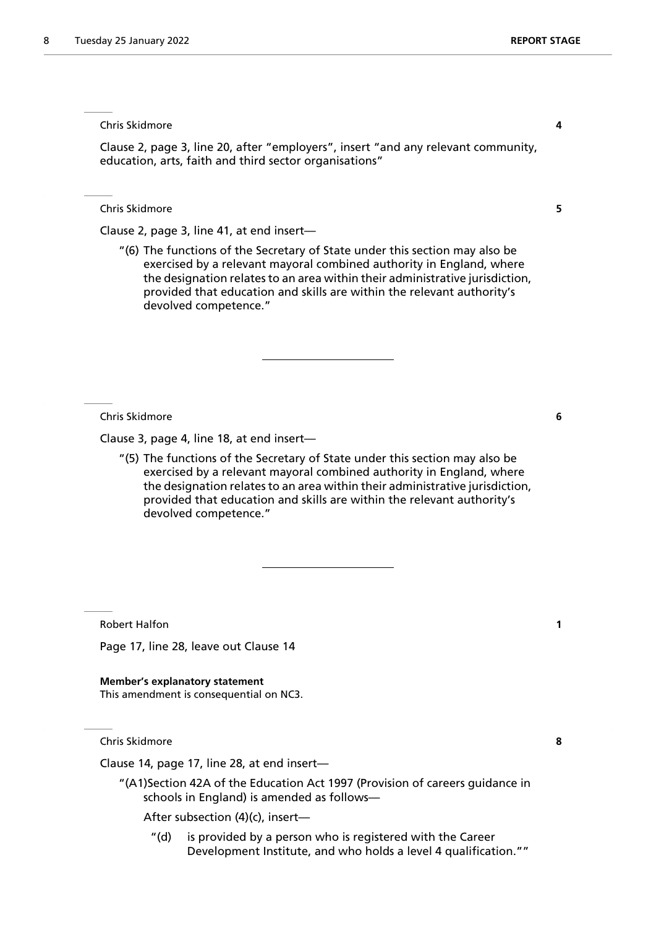Chris Skidmore **4**

Clause 2, page 3, line 20, after "employers", insert "and any relevant community, education, arts, faith and third sector organisations"

Chris Skidmore **5**

Clause 2, page 3, line 41, at end insert—

"(6) The functions of the Secretary of State under this section may also be exercised by a relevant mayoral combined authority in England, where the designation relates to an area within their administrative jurisdiction, provided that education and skills are within the relevant authority's devolved competence."

Chris Skidmore **6**

Clause 3, page 4, line 18, at end insert—

"(5) The functions of the Secretary of State under this section may also be exercised by a relevant mayoral combined authority in England, where the designation relates to an area within their administrative jurisdiction, provided that education and skills are within the relevant authority's devolved competence."

Robert Halfon **1**

Page 17, line 28, leave out Clause 14

**Member's explanatory statement** This amendment is consequential on NC3.

Chris Skidmore **8**

Clause 14, page 17, line 28, at end insert—

"(A1)Section 42A of the Education Act 1997 (Provision of careers guidance in schools in England) is amended as follows—

After subsection (4)(c), insert—

"(d) is provided by a person who is registered with the Career Development Institute, and who holds a level 4 qualification.""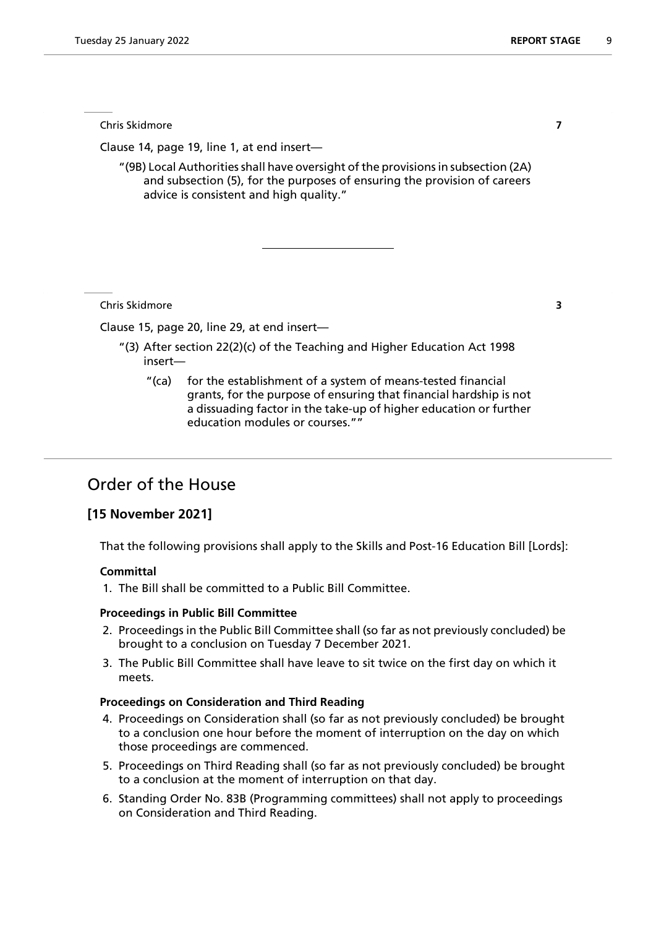Chris Skidmore **7**

Clause 14, page 19, line 1, at end insert—

"(9B) Local Authorities shall have oversight of the provisions in subsection (2A) and subsection (5), for the purposes of ensuring the provision of careers advice is consistent and high quality."

Chris Skidmore **3**

Clause 15, page 20, line 29, at end insert—

- "(3) After section 22(2)(c) of the Teaching and Higher Education Act 1998 insert—
	- "(ca) for the establishment of a system of means-tested financial grants, for the purpose of ensuring that financial hardship is not a dissuading factor in the take-up of higher education or further education modules or courses.""

# Order of the House

## **[15 November 2021]**

That the following provisions shall apply to the Skills and Post-16 Education Bill [Lords]:

#### **Committal**

1. The Bill shall be committed to a Public Bill Committee.

#### **Proceedings in Public Bill Committee**

- 2. Proceedings in the Public Bill Committee shall (so far as not previously concluded) be brought to a conclusion on Tuesday 7 December 2021.
- 3. The Public Bill Committee shall have leave to sit twice on the first day on which it meets.

#### **Proceedings on Consideration and Third Reading**

- 4. Proceedings on Consideration shall (so far as not previously concluded) be brought to a conclusion one hour before the moment of interruption on the day on which those proceedings are commenced.
- 5. Proceedings on Third Reading shall (so far as not previously concluded) be brought to a conclusion at the moment of interruption on that day.
- 6. Standing Order No. 83B (Programming committees) shall not apply to proceedings on Consideration and Third Reading.